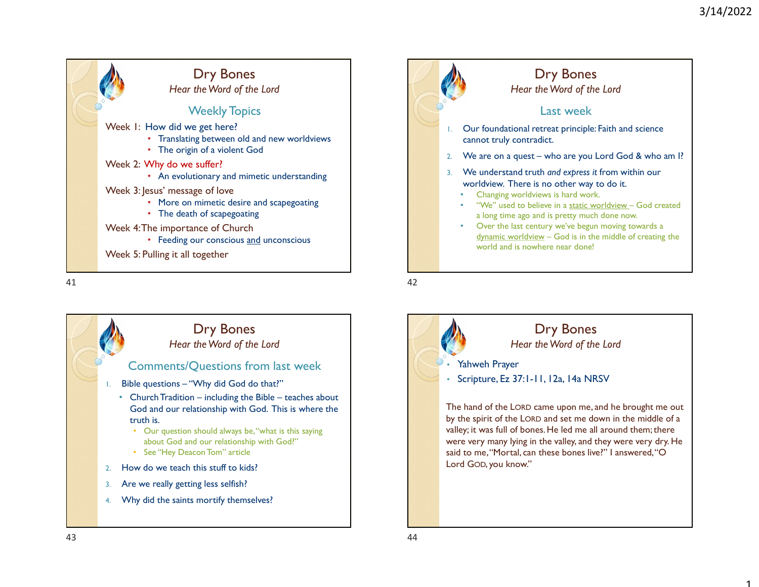1





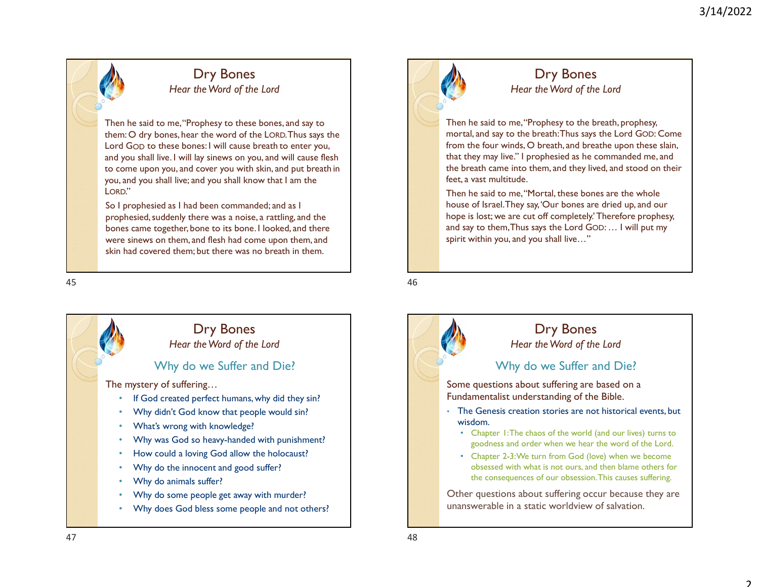#### Dry Bones Hear the Word of the Lord

Then he said to me, "Prophesy to these bones, and say to them: O dry bones, hear the word of the LORD. Thus says the Lord Then he said to me, "Prophesy to these bones, and say to<br>
Then he said to me, "Prophesy to these bones, and say to<br>
them: O dry bones, hear the word of the LORD. Thus says the<br>
lord GOD to these bones: I will cause br and you shall live. I will lay sinews on you, and will cause flesh to come upon you, and cover you with skin, and put breath in the breath in the breath in the said to me, "Prophesy to the breath in the me said to me,"Prophesy to the breath in the said to me,"Prophesy to the breath in the you, and you shall live; and you shall know that I am the LORD."

So I prophesied as I had been commanded; and as I prophesied, suddenly there was a noise, a rattling, and the bones came together, bone to its bone. I looked, and there were sinews on them, and flesh had come upon them, and skin had covered them; but there was no breath in them.





### Dry Bones Hear the Word of the Lord

Then he said to me, "Prophesy to the breath, prophesy, mortal, and say to the breath: Thus says the Lord GOD: Come from the four winds, O breath, and breathe upon these slain, that they may live." I prophesied as he commanded me, and the breath came into them, and they lived, and stood on their feet, a vast multitude.

Then he said to me, "Mortal, these bones are the whole house of Israel. They say, 'Our bones are dried up, and our hope is lost; we are cut off completely.' Therefore prophesy, and say to them, Thus says the Lord GOD: … I will put my spirit within you, and you shall live…"

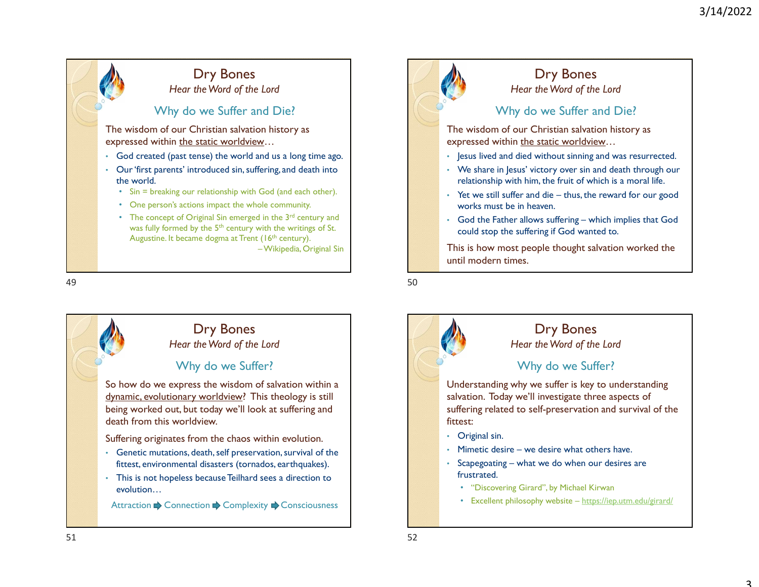# Why do we Suffer and Die? The wisdom of our Christian salvation history as expressed within the static worldview... • God created (past tense) the world and us a long time ago. • Our 'first parents' introduced sin, suffering, and death into the world. • Sin = breaking our relationship with God (and each other). • One person's actions impact the whole community. • The concept of Original Sin emerged in the 3<sup>rd</sup> century and<br> **Example 2018** 600 Contract Art God the Father allows suffering - which implies that God Find The World Control of the Singlet of the Singlet of the Singlet of the Singlet of the Singlet of the Singlet of the Singlet of the Singlet of the Singlet of the Singlet of the Singlet of the Singlet of the Singlet of t Dry Bones Hear the Word of the Lord May do we Suffer and Die?<br>
The wisdom of our Christian salvation history as<br>
expressed within the static world of the Lord<br>
Why do we Suffer and Die?<br>
The wisdom of our Christian salvation history as<br>
expressed within th

was fully formed by the 5<sup>th</sup> century with the writings of St. Augustine. It became dogma at Trent  $(16<sup>th</sup>$  century).

## Dry Bones

Hear the Word of the Lord

### Why do we Suffer?

So how do we express the wisdom of salvation within a dynamic, evolutionary worldview? This theology is still being worked out, but today we'll look at suffering and death from this worldview.

Suffering originates from the chaos within evolution.

- Genetic mutations, death, self preservation, survival of the fittest, environmental disasters (tornados, earthquakes).
- This is not hopeless because Teilhard sees a direction to evolution…

Attraction → Connection → Complexity → Consciousness



## Dry Bones

Hear the Word of the Lord

#### Why do we Suffer and Die?

The wisdom of our Christian salvation history as expressed within the static worldview…

- Jesus lived and died without sinning and was resurrected.
- We share in Jesus' victory over sin and death through our relationship with him, the fruit of which is a moral life.
- works must be in heaven.
- 9/14/2022<br>
 Pry Bones<br>
 Hear the Word of the Lord<br>
 Why do we Suffer and Die?<br>
 The wisdom of our Christian salvation history as<br>
 sexpressed within the <u>static worldview</u>...<br>
 Jesus lived and died without sinning a could stop the suffering if God wanted to.

<sup>3/14/2022</sup><br>• God the Father Word of the Lord<br>• Why do we Suffer and Die?<br>• The wisdom of our Christian salvation history as<br>• expressed within the static worldwire.<br>• Jesus lived and died without sinning and was resurrect This is how most people thought salvation worked the until modern times.



- Original sin.
- 
- frustrated.
	- "Discovering Girard", by Michael Kirwan
	- Excellent philosophy website https://iep.utm.edu/girard/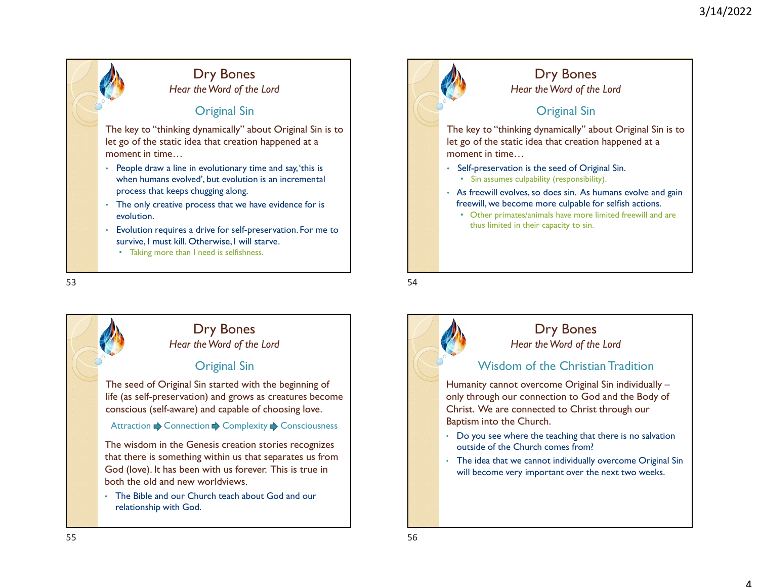





Hear the Word of the Lord

#### Wisdom of the Christian Tradition

Humanity cannot overcome Original Sin individually – only through our connection to God and the Body of Christ. We are connected to Christ through our

- Do you see where the teaching that there is no salvation outside of the Church comes from?
- The idea that we cannot individually overcome Original Sin will become very important over the next two weeks.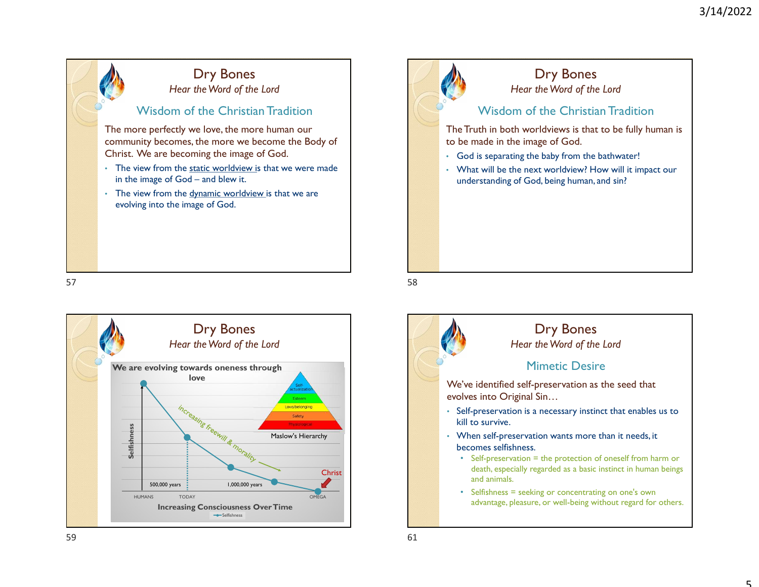



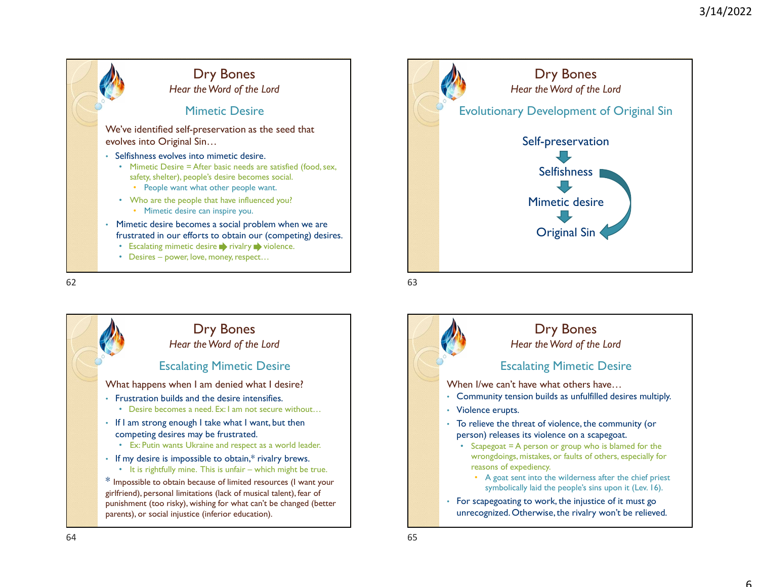





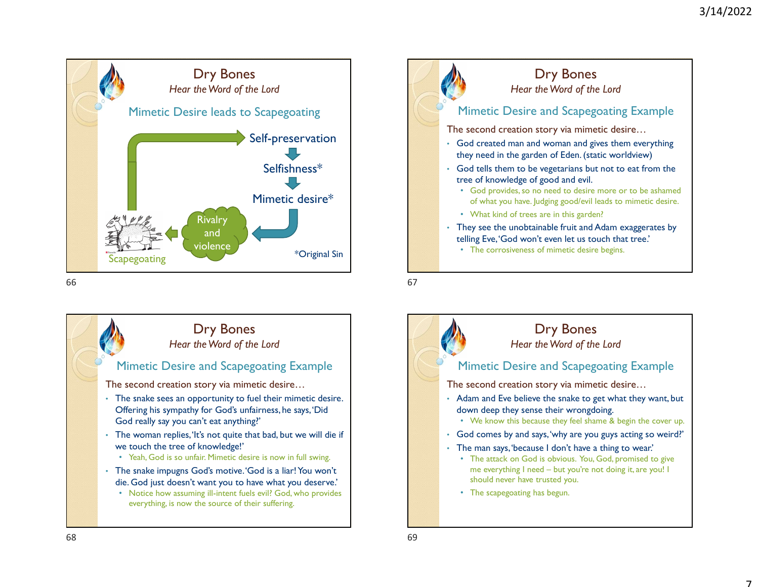





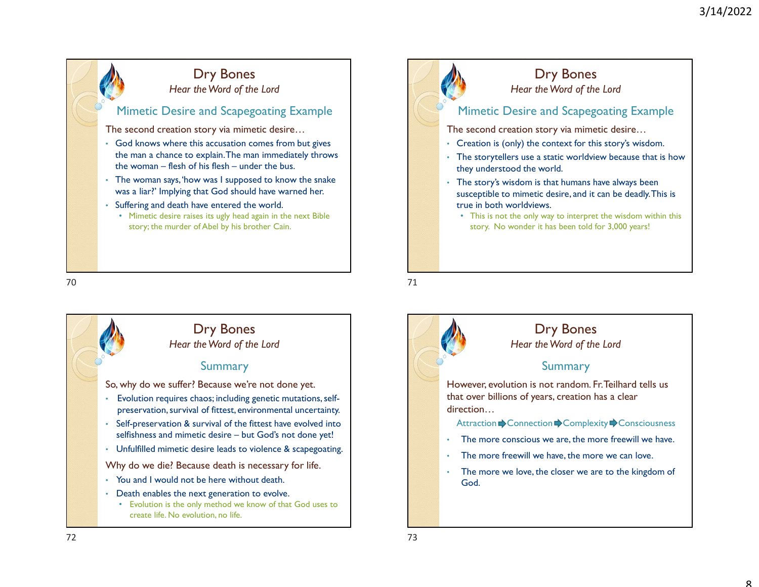

Mimetic Desire and Scapegoating Example The second creation story via mimetic desire… • Creation is (only) the context for this story's wisdom. • The storytellers use a static worldview because that is how they understood the world. • The story's wisdom is that humans have always been susceptible to mimetic desire, and it can be deadly. This is true in both worldviews. • This is not the only way to interpret the wisdom within this story. No wonder it has been told for 3,000 years! Dry Bones Hear the Word of the Lord



## **Summary** However, evolution is not random. Fr. Teilhard tells us that over billions of years, creation has a clear direction… Attraction Connection Complexity Consciousness The more conscious we are, the more freewill we have. The more freewill we have, the more we can love. The more we love, the closer we are to the kingdom of